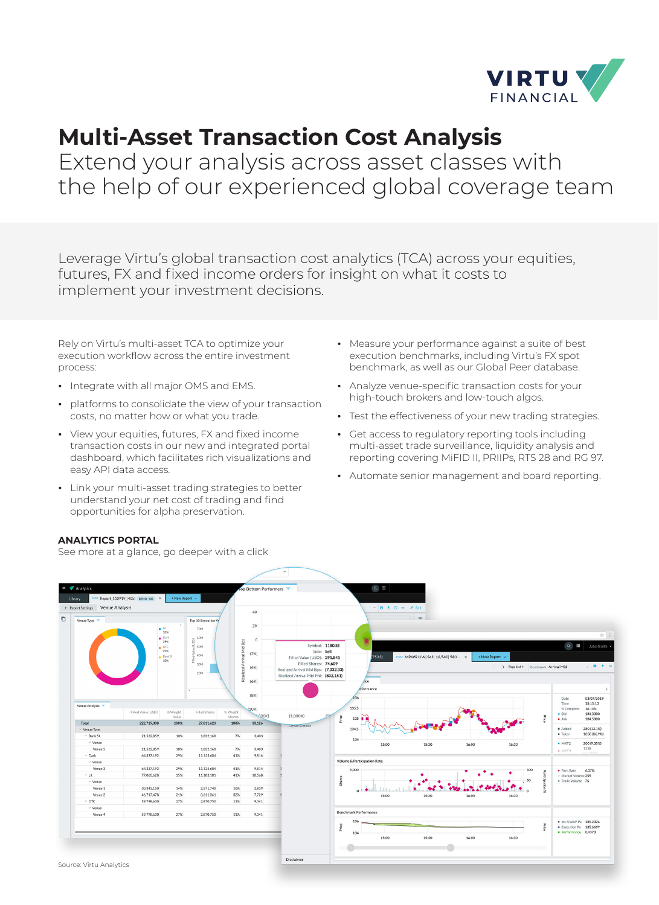

## **Multi-Asset Transaction Cost Analysis**

Extend your analysis across asset classes with the help of our experienced global coverage team

Leverage Virtu's global transaction cost analytics (TCA) across your equities, futures, FX and fixed income orders for insight on what it costs to implement your investment decisions.

Rely on Virtu's multi-asset TCA to optimize your execution workflow across the entire investment process:

- **¬** Integrate with all major OMS and EMS.
- **¬** platforms to consolidate the view of your transaction costs, no matter how or what you trade.
- **¬** View your equities, futures, FX and fixed income transaction costs in our new and integrated portal dashboard, which facilitates rich visualizations and easy API data access.
- **¬** Link your multi-asset trading strategies to better understand your net cost of trading and find opportunities for alpha preservation.
- **¬** Measure your performance against a suite of best execution benchmarks, including Virtu's FX spot benchmark, as well as our Global Peer database.
- **¬** Analyze venue-specific transaction costs for your high-touch brokers and low-touch algos.
- **¬** Test the effectiveness of your new trading strategies.
- **¬** Get access to regulatory reporting tools including multi-asset trade surveillance, liquidity analysis and reporting covering MiFID II, PRIIPs, RTS 28 and RG 97.
- **¬** Automate senior management and board reporting.



See more at a glance, go deeper with a click